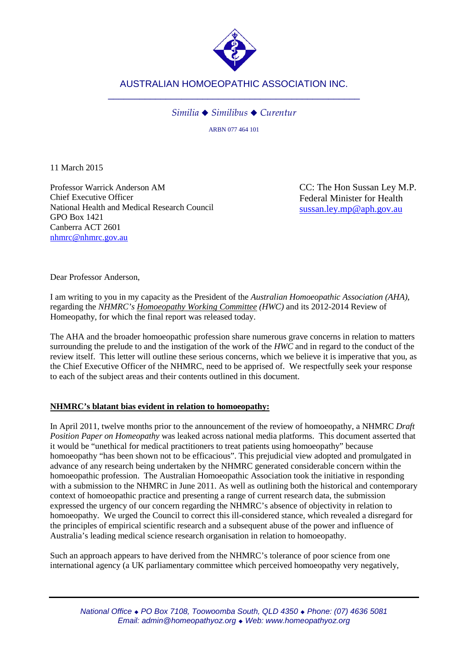

*Similia Similibus Curentur*

ARBN 077 464 101

11 March 2015

Professor Warrick Anderson AM Chief Executive Officer National Health and Medical Research Council GPO Box 1421 Canberra ACT 2601 [nhmrc@nhmrc.gov.au](mailto:nhmrc@nhmrc.gov.au)

CC: The Hon Sussan Ley M.P. Federal Minister for Health [sussan.ley.mp@aph.gov.au](mailto:sussan.ley.mp@aph.gov.au)

Dear Professor Anderson,

I am writing to you in my capacity as the President of the *Australian Homoeopathic Association (AHA)*, regarding the *NHMRC's Homoeopathy Working Committee (HWC)* and its 2012-2014 Review of Homeopathy, for which the final report was released today.

The AHA and the broader homoeopathic profession share numerous grave concerns in relation to matters surrounding the prelude to and the instigation of the work of the *HWC* and in regard to the conduct of the review itself. This letter will outline these serious concerns, which we believe it is imperative that you, as the Chief Executive Officer of the NHMRC, need to be apprised of. We respectfully seek your response to each of the subject areas and their contents outlined in this document.

## **NHMRC's blatant bias evident in relation to homoeopathy:**

In April 2011, twelve months prior to the announcement of the review of homoeopathy, a NHMRC *Draft Position Paper on Homeopathy* was leaked across national media platforms. This document asserted that it would be "unethical for medical practitioners to treat patients using homoeopathy" because homoeopathy "has been shown not to be efficacious". This prejudicial view adopted and promulgated in advance of any research being undertaken by the NHMRC generated considerable concern within the homoeopathic profession. The Australian Homoeopathic Association took the initiative in responding with a submission to the NHMRC in June 2011. As well as outlining both the historical and contemporary context of homoeopathic practice and presenting a range of current research data, the submission expressed the urgency of our concern regarding the NHMRC's absence of objectivity in relation to homoeopathy. We urged the Council to correct this ill-considered stance, which revealed a disregard for the principles of empirical scientific research and a subsequent abuse of the power and influence of Australia's leading medical science research organisation in relation to homoeopathy.

Such an approach appears to have derived from the NHMRC's tolerance of poor science from one international agency (a UK parliamentary committee which perceived homoeopathy very negatively,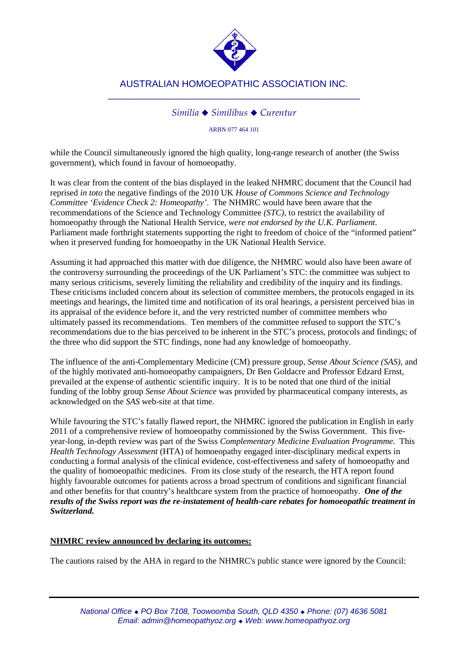

## *Similia Similibus Curentur*

ARBN 077 464 101

while the Council simultaneously ignored the high quality, long-range research of another (the Swiss government), which found in favour of homoeopathy.

It was clear from the content of the bias displayed in the leaked NHMRC document that the Council had reprised *in toto* the negative findings of the 2010 UK *House of Commons Science and Technology Committee 'Evidence Check 2: Homeopathy'*. The NHMRC would have been aware that the recommendations of the Science and Technology Committee *(STC),* to restrict the availability of homoeopathy through the National Health Service, *were not endorsed by the U.K. Parliament.* Parliament made forthright statements supporting the right to freedom of choice of the "informed patient" when it preserved funding for homoeopathy in the UK National Health Service.

Assuming it had approached this matter with due diligence, the NHMRC would also have been aware of the controversy surrounding the proceedings of the UK Parliament's STC: the committee was subject to many serious criticisms, severely limiting the reliability and credibility of the inquiry and its findings. These criticisms included concern about its selection of committee members, the protocols engaged in its meetings and hearings, the limited time and notification of its oral hearings, a persistent perceived bias in its appraisal of the evidence before it, and the very restricted number of committee members who ultimately passed its recommendations. Ten members of the committee refused to support the STC's recommendations due to the bias perceived to be inherent in the STC's process, protocols and findings; of the three who did support the STC findings, none had any knowledge of homoeopathy.

The influence of the anti-Complementary Medicine (CM) pressure group, *Sense About Science (SAS)*, and of the highly motivated anti-homoeopathy campaigners, Dr Ben Goldacre and Professor Edzard Ernst, prevailed at the expense of authentic scientific inquiry. It is to be noted that one third of the initial funding of the lobby group *Sense About Science* was provided by pharmaceutical company interests, as acknowledged on the *SAS* web-site at that time.

While favouring the STC's fatally flawed report, the NHMRC ignored the publication in English in early 2011 of a comprehensive review of homoeopathy commissioned by the Swiss Government. This fiveyear-long, in-depth review was part of the Swiss *Complementary Medicine Evaluation Programme*. This *Health Technology Assessment* (HTA) of homoeopathy engaged inter-disciplinary medical experts in conducting a formal analysis of the clinical evidence, cost-effectiveness and safety of homoeopathy and the quality of homoeopathic medicines. From its close study of the research, the HTA report found highly favourable outcomes for patients across a broad spectrum of conditions and significant financial and other benefits for that country's healthcare system from the practice of homoeopathy.*One of the results of the Swiss report was the re-instatement of health-care rebates for homoeopathic treatment in Switzerland.*

#### **NHMRC review announced by declaring its outcomes:**

The cautions raised by the AHA in regard to the NHMRC's public stance were ignored by the Council: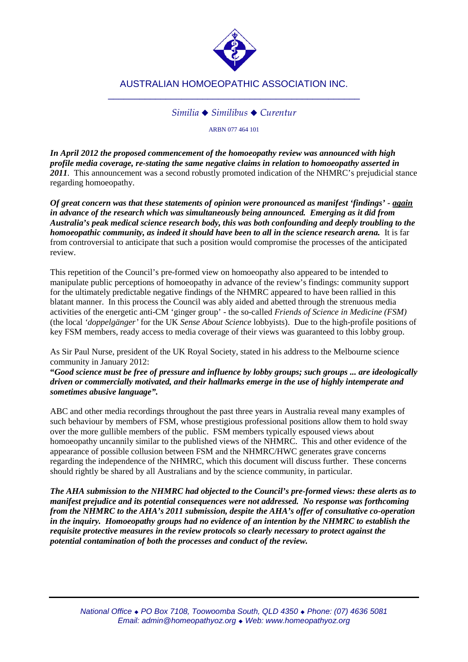

## *Similia Similibus Curentur*

ARBN 077 464 101

*In April 2012 the proposed commencement of the homoeopathy review was announced with high profile media coverage, re-stating the same negative claims in relation to homoeopathy asserted in 2011.* This announcement was a second robustly promoted indication of the NHMRC's prejudicial stance regarding homoeopathy.

*Of great concern was that these statements of opinion were pronounced as manifest 'findings' - again in advance of the research which was simultaneously being announced. Emerging as it did from Australia's peak medical science research body, this was both confounding and deeply troubling to the homoeopathic community, as indeed it should have been to all in the science research arena.* It is far from controversial to anticipate that such a position would compromise the processes of the anticipated review.

This repetition of the Council's pre-formed view on homoeopathy also appeared to be intended to manipulate public perceptions of homoeopathy in advance of the review's findings: community support for the ultimately predictable negative findings of the NHMRC appeared to have been rallied in this blatant manner. In this process the Council was ably aided and abetted through the strenuous media activities of the energetic anti-CM 'ginger group' - the so-called *Friends of Science in Medicine (FSM)* (the local *'doppelgänger'* for the UK *Sense About Science* lobbyists). Due to the high-profile positions of key FSM members, ready access to media coverage of their views was guaranteed to this lobby group.

As Sir Paul Nurse, president of the UK Royal Society, stated in his address to the Melbourne science community in January 2012:

**"***Good science must be free of pressure and influence by lobby groups; such groups ... are ideologically driven or commercially motivated, and their hallmarks emerge in the use of highly intemperate and sometimes abusive language".* 

ABC and other media recordings throughout the past three years in Australia reveal many examples of such behaviour by members of FSM, whose prestigious professional positions allow them to hold sway over the more gullible members of the public. FSM members typically espoused views about homoeopathy uncannily similar to the published views of the NHMRC. This and other evidence of the appearance of possible collusion between FSM and the NHMRC/HWC generates grave concerns regarding the independence of the NHMRC, which this document will discuss further. These concerns should rightly be shared by all Australians and by the science community, in particular.

*The AHA submission to the NHMRC had objected to the Council's pre-formed views: these alerts as to manifest prejudice and its potential consequences were not addressed. No response was forthcoming from the NHMRC to the AHA's 2011 submission, despite the AHA's offer of consultative co-operation in the inquiry. Homoeopathy groups had no evidence of an intention by the NHMRC to establish the requisite protective measures in the review protocols so clearly necessary to protect against the potential contamination of both the processes and conduct of the review.*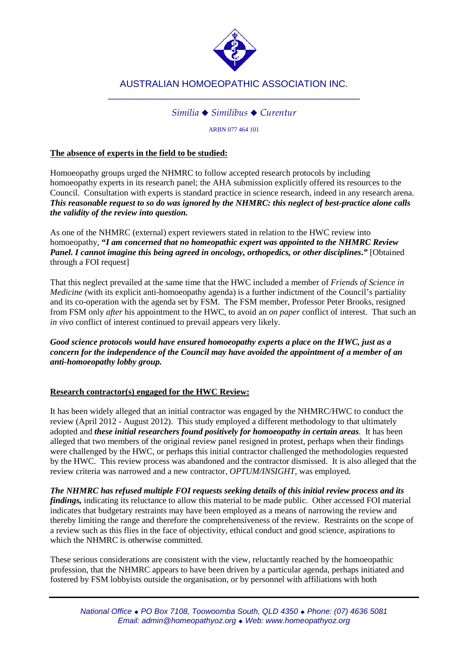

## *Similia Similibus Curentur*

ARBN 077 464 101

## **The absence of experts in the field to be studied:**

Homoeopathy groups urged the NHMRC to follow accepted research protocols by including homoeopathy experts in its research panel; the AHA submission explicitly offered its resources to the Council. Consultation with experts is standard practice in science research, indeed in any research arena. *This reasonable request to so do was ignored by the NHMRC: this neglect of best-practice alone calls the validity of the review into question.*

As one of the NHMRC (external) expert reviewers stated in relation to the HWC review into homoeopathy, **"***I am concerned that no homeopathic expert was appointed to the NHMRC Review Panel. I cannot imagine this being agreed in oncology, orthopedics, or other disciplines***.***"* [Obtained through a FOI request]

That this neglect prevailed at the same time that the HWC included a member of *Friends of Science in Medicine (*with its explicit anti-homoeopathy agenda) is a further indictment of the Council's partiality and its co-operation with the agenda set by FSM. The FSM member, Professor Peter Brooks, resigned from FSM only *after* his appointment to the HWC, to avoid an *on paper* conflict of interest. That such an *in vivo* conflict of interest continued to prevail appears very likely.

*Good science protocols would have ensured homoeopathy experts a place on the HWC, just as a concern for the independence of the Council may have avoided the appointment of a member of an anti-homoeopathy lobby group.*

## **Research contractor(s) engaged for the HWC Review:**

It has been widely alleged that an initial contractor was engaged by the NHMRC/HWC to conduct the review (April 2012 - August 2012). This study employed a different methodology to that ultimately adopted and *these initial researchers found positively for homoeopathy in certain areas.* It has been alleged that two members of the original review panel resigned in protest, perhaps when their findings were challenged by the HWC, or perhaps this initial contractor challenged the methodologies requested by the HWC. This review process was abandoned and the contractor dismissed. It is also alleged that the review criteria was narrowed and a new contractor, *OPTUM/INSIGHT,* was employed.

*The NHMRC has refused multiple FOI requests seeking details of this initial review process and its findings,* indicating its reluctance to allow this material to be made public. Other accessed FOI material indicates that budgetary restraints may have been employed as a means of narrowing the review and thereby limiting the range and therefore the comprehensiveness of the review. Restraints on the scope of a review such as this flies in the face of objectivity, ethical conduct and good science, aspirations to which the NHMRC is otherwise committed.

These serious considerations are consistent with the view, reluctantly reached by the homoeopathic profession, that the NHMRC appears to have been driven by a particular agenda, perhaps initiated and fostered by FSM lobbyists outside the organisation, or by personnel with affiliations with both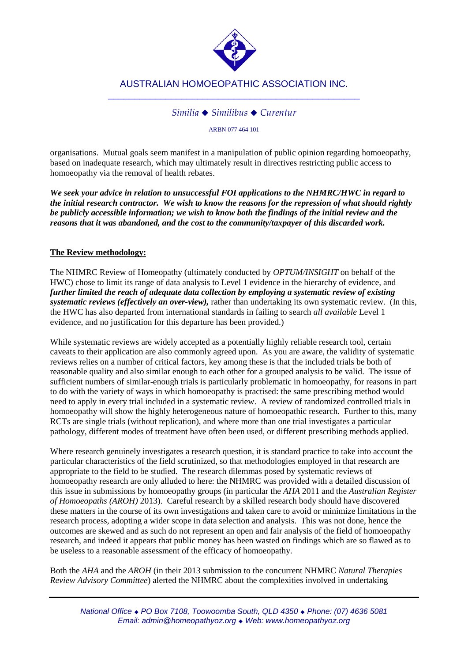

## *Similia Similibus Curentur*

ARBN 077 464 101

organisations. Mutual goals seem manifest in a manipulation of public opinion regarding homoeopathy, based on inadequate research, which may ultimately result in directives restricting public access to homoeopathy via the removal of health rebates.

*We seek your advice in relation to unsuccessful FOI applications to the NHMRC/HWC in regard to the initial research contractor. We wish to know the reasons for the repression of what should rightly be publicly accessible information; we wish to know both the findings of the initial review and the reasons that it was abandoned, and the cost to the community/taxpayer of this discarded work.*

### **The Review methodology:**

The NHMRC Review of Homeopathy (ultimately conducted by *OPTUM/INSIGHT* on behalf of the HWC) chose to limit its range of data analysis to Level 1 evidence in the hierarchy of evidence, and *further limited the reach of adequate data collection by employing a systematic review of existing systematic reviews (effectively an over-view),* rather than undertaking its own systematic review. (In this, the HWC has also departed from international standards in failing to search *all available* Level 1 evidence, and no justification for this departure has been provided.)

While systematic reviews are widely accepted as a potentially highly reliable research tool, certain caveats to their application are also commonly agreed upon. As you are aware, the validity of systematic reviews relies on a number of critical factors, key among these is that the included trials be both of reasonable quality and also similar enough to each other for a grouped analysis to be valid.The issue of sufficient numbers of similar-enough trials is particularly problematic in homoeopathy, for reasons in part to do with the variety of ways in which homoeopathy is practised: the same prescribing method would need to apply in every trial included in a systematic review. A review of randomized controlled trials in homoeopathy will show the highly heterogeneous nature of homoeopathic research. Further to this, many RCTs are single trials (without replication), and where more than one trial investigates a particular pathology, different modes of treatment have often been used, or different prescribing methods applied.

Where research genuinely investigates a research question, it is standard practice to take into account the particular characteristics of the field scrutinized, so that methodologies employed in that research are appropriate to the field to be studied. The research dilemmas posed by systematic reviews of homoeopathy research are only alluded to here: the NHMRC was provided with a detailed discussion of this issue in submissions by homoeopathy groups (in particular the *AHA* 2011 and the *Australian Register of Homoeopaths (AROH)* 2013). Careful research by a skilled research body should have discovered these matters in the course of its own investigations and taken care to avoid or minimize limitations in the research process, adopting a wider scope in data selection and analysis. This was not done, hence the outcomes are skewed and as such do not represent an open and fair analysis of the field of homoeopathy research, and indeed it appears that public money has been wasted on findings which are so flawed as to be useless to a reasonable assessment of the efficacy of homoeopathy.

Both the *AHA* and the *AROH* (in their 2013 submission to the concurrent NHMRC *Natural Therapies Review Advisory Committee*) alerted the NHMRC about the complexities involved in undertaking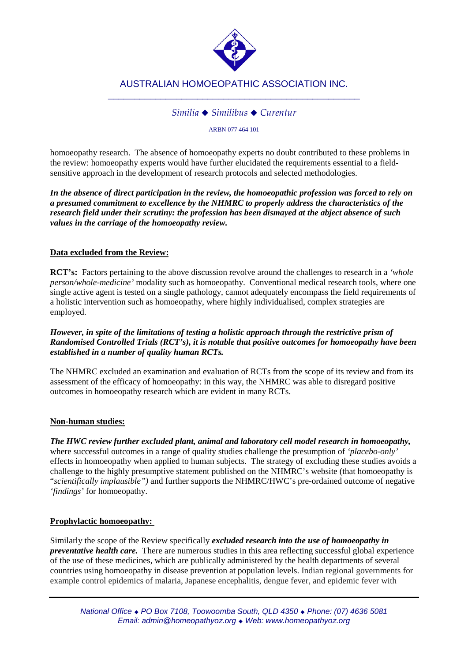

## *Similia Similibus Curentur*

ARBN 077 464 101

homoeopathy research. The absence of homoeopathy experts no doubt contributed to these problems in the review: homoeopathy experts would have further elucidated the requirements essential to a fieldsensitive approach in the development of research protocols and selected methodologies.

*In the absence of direct participation in the review, the homoeopathic profession was forced to rely on a presumed commitment to excellence by the NHMRC to properly address the characteristics of the research field under their scrutiny: the profession has been dismayed at the abject absence of such values in the carriage of the homoeopathy review.*

## **Data excluded from the Review:**

**RCT's:** Factors pertaining to the above discussion revolve around the challenges to research in a *'whole person/whole-medicine'* modality such as homoeopathy. Conventional medical research tools, where one single active agent is tested on a single pathology, cannot adequately encompass the field requirements of a holistic intervention such as homoeopathy, where highly individualised, complex strategies are employed.

## *However, in spite of the limitations of testing a holistic approach through the restrictive prism of Randomised Controlled Trials (RCT's), it is notable that positive outcomes for homoeopathy have been established in a number of quality human RCTs.*

The NHMRC excluded an examination and evaluation of RCTs from the scope of its review and from its assessment of the efficacy of homoeopathy: in this way, the NHMRC was able to disregard positive outcomes in homoeopathy research which are evident in many RCTs.

## **Non-human studies:**

*The HWC review further excluded plant, animal and laboratory cell model research in homoeopathy,*  where successful outcomes in a range of quality studies challenge the presumption of *'placebo-only'* effects in homoeopathy when applied to human subjects. The strategy of excluding these studies avoids a challenge to the highly presumptive statement published on the NHMRC's website (that homoeopathy is "*scientifically implausible")* and further supports the NHMRC/HWC's pre-ordained outcome of negative *'findings'* for homoeopathy.

## **Prophylactic homoeopathy:**

Similarly the scope of the Review specifically *excluded research into the use of homoeopathy in preventative health care.* There are numerous studies in this area reflecting successful global experience of the use of these medicines, which are publically administered by the health departments of several countries using homoeopathy in disease prevention at population levels. Indian regional governments for example control epidemics of malaria, Japanese encephalitis, dengue fever, and epidemic fever with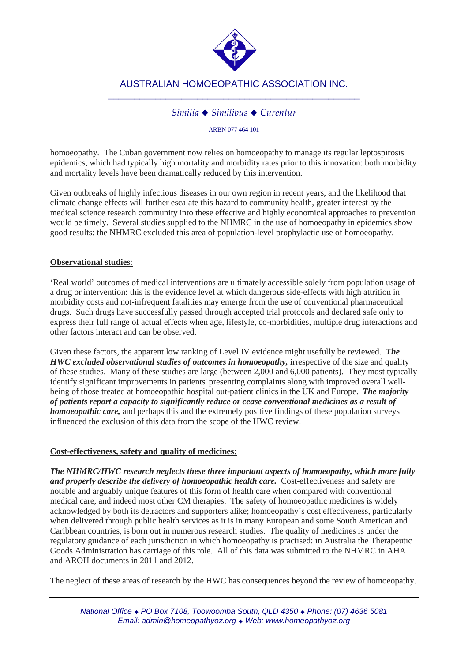

## *Similia Similibus Curentur*

ARBN 077 464 101

homoeopathy. The Cuban government now relies on homoeopathy to manage its regular leptospirosis epidemics, which had typically high mortality and morbidity rates prior to this innovation: both morbidity and mortality levels have been dramatically reduced by this intervention.

Given outbreaks of highly infectious diseases in our own region in recent years, and the likelihood that climate change effects will further escalate this hazard to community health, greater interest by the medical science research community into these effective and highly economical approaches to prevention would be timely. Several studies supplied to the NHMRC in the use of homoeopathy in epidemics show good results: the NHMRC excluded this area of population-level prophylactic use of homoeopathy.

### **Observational studies**:

'Real world' outcomes of medical interventions are ultimately accessible solely from population usage of a drug or intervention: this is the evidence level at which dangerous side-effects with high attrition in morbidity costs and not-infrequent fatalities may emerge from the use of conventional pharmaceutical drugs. Such drugs have successfully passed through accepted trial protocols and declared safe only to express their full range of actual effects when age, lifestyle, co-morbidities, multiple drug interactions and other factors interact and can be observed.

Given these factors, the apparent low ranking of Level IV evidence might usefully be reviewed. *The HWC excluded observational studies of outcomes in homoeopathy,* irrespective of the size and quality of these studies. Many of these studies are large (between 2,000 and 6,000 patients). They most typically identify significant improvements in patients' presenting complaints along with improved overall wellbeing of those treated at homoeopathic hospital out-patient clinics in the UK and Europe. *The majority of patients report a capacity to significantly reduce or cease conventional medicines as a result of homoeopathic care*, and perhaps this and the extremely positive findings of these population surveys influenced the exclusion of this data from the scope of the HWC review.

#### **Cost-effectiveness, safety and quality of medicines:**

*The NHMRC/HWC research neglects these three important aspects of homoeopathy, which more fully*  and properly describe the delivery of homoeopathic health care. Cost-effectiveness and safety are notable and arguably unique features of this form of health care when compared with conventional medical care, and indeed most other CM therapies. The safety of homoeopathic medicines is widely acknowledged by both its detractors and supporters alike; homoeopathy's cost effectiveness, particularly when delivered through public health services as it is in many European and some South American and Caribbean countries, is born out in numerous research studies. The quality of medicines is under the regulatory guidance of each jurisdiction in which homoeopathy is practised: in Australia the Therapeutic Goods Administration has carriage of this role. All of this data was submitted to the NHMRC in AHA and AROH documents in 2011 and 2012.

The neglect of these areas of research by the HWC has consequences beyond the review of homoeopathy.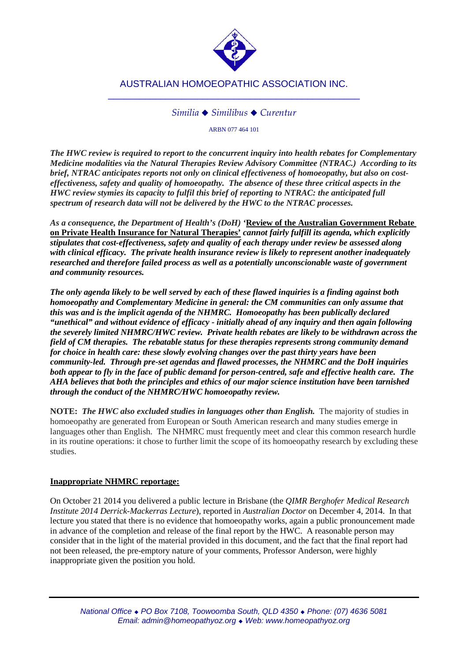

## *Similia Similibus Curentur*

ARBN 077 464 101

*The HWC review is required to report to the concurrent inquiry into health rebates for Complementary Medicine modalities via the Natural Therapies Review Advisory Committee (NTRAC.) According to its brief, NTRAC anticipates reports not only on clinical effectiveness of homoeopathy, but also on costeffectiveness, safety and quality of homoeopathy. The absence of these three critical aspects in the HWC review stymies its capacity to fulfil this brief of reporting to NTRAC: the anticipated full spectrum of research data will not be delivered by the HWC to the NTRAC processes.* 

*As a consequence, the Department of Health's (DoH) '***Review of the Australian Government Rebate on Private Health Insurance for Natural Therapies'** *cannot fairly fulfill its agenda, which explicitly stipulates that cost-effectiveness, safety and quality of each therapy under review be assessed along with clinical efficacy. The private health insurance review is likely to represent another inadequately researched and therefore failed process as well as a potentially unconscionable waste of government and community resources.*

*The only agenda likely to be well served by each of these flawed inquiries is a finding against both homoeopathy and Complementary Medicine in general: the CM communities can only assume that this was and is the implicit agenda of the NHMRC. Homoeopathy has been publically declared "unethical" and without evidence of efficacy - initially ahead of any inquiry and then again following the severely limited NHMRC/HWC review. Private health rebates are likely to be withdrawn across the field of CM therapies. The rebatable status for these therapies represents strong community demand for choice in health care: these slowly evolving changes over the past thirty years have been community-led. Through pre-set agendas and flawed processes, the NHMRC and the DoH inquiries both appear to fly in the face of public demand for person-centred, safe and effective health care. The AHA believes that both the principles and ethics of our major science institution have been tarnished through the conduct of the NHMRC/HWC homoeopathy review.*

**NOTE:** *The HWC also excluded studies in languages other than English.* The majority of studies in homoeopathy are generated from European or South American research and many studies emerge in languages other than English. The NHMRC must frequently meet and clear this common research hurdle in its routine operations: it chose to further limit the scope of its homoeopathy research by excluding these studies.

## **Inappropriate NHMRC reportage:**

On October 21 2014 you delivered a public lecture in Brisbane (the *QIMR Berghofer Medical Research Institute 2014 Derrick-Mackerras Lecture*), reported in *Australian Doctor* on December 4, 2014. In that lecture you stated that there is no evidence that homoeopathy works, again a public pronouncement made in advance of the completion and release of the final report by the HWC. A reasonable person may consider that in the light of the material provided in this document, and the fact that the final report had not been released, the pre-emptory nature of your comments, Professor Anderson, were highly inappropriate given the position you hold.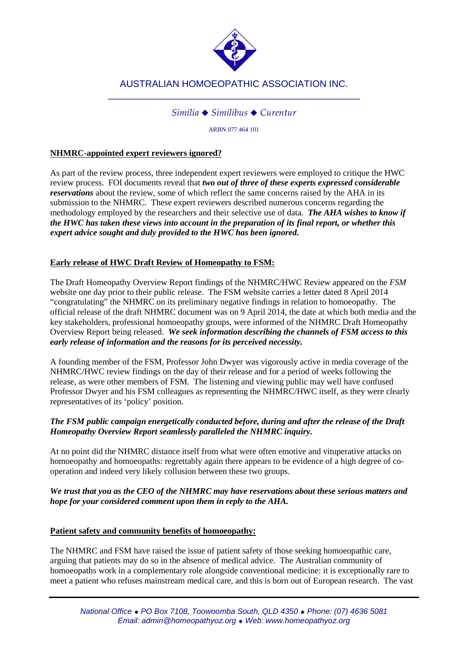

## *Similia Similibus Curentur*

ARBN 077 464 101

### **NHMRC-appointed expert reviewers ignored?**

As part of the review process, three independent expert reviewers were employed to critique the HWC review process. FOI documents reveal that *two out of three of these experts expressed considerable reservations* about the review, some of which reflect the same concerns raised by the AHA in its submission to the NHMRC. These expert reviewers described numerous concerns regarding the methodology employed by the researchers and their selective use of data. *The AHA wishes to know if the HWC has taken these views into account in the preparation of its final report, or whether this expert advice sought and duly provided to the HWC has been ignored.*

### **Early release of HWC Draft Review of Homeopathy to FSM:**

The Draft Homeopathy Overview Report findings of the NHMRC/HWC Review appeared on the *FSM*  website one day prior to their public release. The FSM website carries a letter dated 8 April 2014 "congratulating" the NHMRC on its preliminary negative findings in relation to homoeopathy. The official release of the draft NHMRC document was on 9 April 2014, the date at which both media and the key stakeholders, professional homoeopathy groups, were informed of the NHMRC Draft Homeopathy Overview Report being released. *We seek information describing the channels of FSM access to this early release of information and the reasons for its perceived necessity.*

A founding member of the FSM*,* Professor John Dwyer was vigorously active in media coverage of the NHMRC/HWC review findings on the day of their release and for a period of weeks following the release, as were other members of FSM*.* The listening and viewing public may well have confused Professor Dwyer and his FSM colleagues as representing the NHMRC/HWC itself, as they were clearly representatives of its 'policy' position.

### *The FSM public campaign energetically conducted before, during and after the release of the Draft Homeopathy Overview Report seamlessly paralleled the NHMRC inquiry.*

At no point did the NHMRC distance itself from what were often emotive and vituperative attacks on homoeopathy and homoeopaths: regrettably again there appears to be evidence of a high degree of cooperation and indeed very likely collusion between these two groups.

### *We trust that you as the CEO of the NHMRC may have reservations about these serious matters and hope for your considered comment upon them in reply to the AHA.*

#### **Patient safety and community benefits of homoeopathy:**

The NHMRC and FSM have raised the issue of patient safety of those seeking homoeopathic care, arguing that patients may do so in the absence of medical advice. The Australian community of homoeopaths work in a complementary role alongside conventional medicine: it is exceptionally rare to meet a patient who refuses mainstream medical care, and this is born out of European research. The vast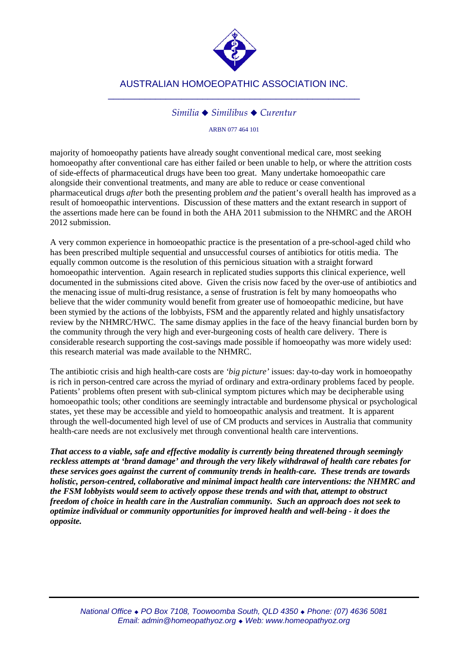

### *Similia Similibus Curentur*

ARBN 077 464 101

majority of homoeopathy patients have already sought conventional medical care, most seeking homoeopathy after conventional care has either failed or been unable to help, or where the attrition costs of side-effects of pharmaceutical drugs have been too great. Many undertake homoeopathic care alongside their conventional treatments, and many are able to reduce or cease conventional pharmaceutical drugs *after* both the presenting problem *and* the patient's overall health has improved as a result of homoeopathic interventions. Discussion of these matters and the extant research in support of the assertions made here can be found in both the AHA 2011 submission to the NHMRC and the AROH 2012 submission.

A very common experience in homoeopathic practice is the presentation of a pre-school-aged child who has been prescribed multiple sequential and unsuccessful courses of antibiotics for otitis media. The equally common outcome is the resolution of this pernicious situation with a straight forward homoeopathic intervention. Again research in replicated studies supports this clinical experience, well documented in the submissions cited above. Given the crisis now faced by the over-use of antibiotics and the menacing issue of multi-drug resistance, a sense of frustration is felt by many homoeopaths who believe that the wider community would benefit from greater use of homoeopathic medicine, but have been stymied by the actions of the lobbyists, FSM and the apparently related and highly unsatisfactory review by the NHMRC/HWC. The same dismay applies in the face of the heavy financial burden born by the community through the very high and ever-burgeoning costs of health care delivery. There is considerable research supporting the cost-savings made possible if homoeopathy was more widely used: this research material was made available to the NHMRC.

The antibiotic crisis and high health-care costs are *'big picture'* issues: day-to-day work in homoeopathy is rich in person-centred care across the myriad of ordinary and extra-ordinary problems faced by people. Patients' problems often present with sub-clinical symptom pictures which may be decipherable using homoeopathic tools; other conditions are seemingly intractable and burdensome physical or psychological states, yet these may be accessible and yield to homoeopathic analysis and treatment. It is apparent through the well-documented high level of use of CM products and services in Australia that community health-care needs are not exclusively met through conventional health care interventions.

*That access to a viable, safe and effective modality is currently being threatened through seemingly reckless attempts at 'brand damage' and through the very likely withdrawal of health care rebates for these services goes against the current of community trends in health-care. These trends are towards holistic, person-centred, collaborative and minimal impact health care interventions: the NHMRC and the FSM lobbyists would seem to actively oppose these trends and with that, attempt to obstruct freedom of choice in health care in the Australian community. Such an approach does not seek to optimize individual or community opportunities for improved health and well-being - it does the opposite.*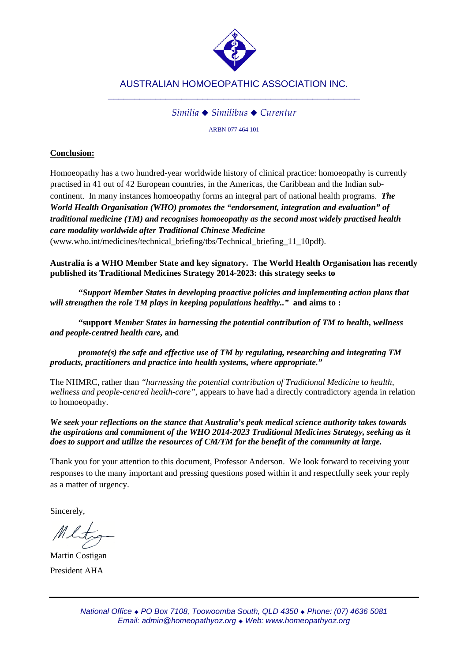

## *Similia Similibus Curentur*

ARBN 077 464 101

## **Conclusion:**

Homoeopathy has a two hundred-year worldwide history of clinical practice: homoeopathy is currently practised in 41 out of 42 European countries, in the Americas, the Caribbean and the Indian subcontinent. In many instances homoeopathy forms an integral part of national health programs. *The World Health Organisation (WHO) promotes the "endorsement, integration and evaluation" of traditional medicine (TM) and recognises homoeopathy as the second most widely practised health care modality worldwide after Traditional Chinese Medicine*

(www.who.int/medicines/technical\_briefing/tbs/Technical\_briefing\_11\_10pdf).

**Australia is a WHO Member State and key signatory. The World Health Organisation has recently published its Traditional Medicines Strategy 2014-2023: this strategy seeks to** 

**"***Support Member States in developing proactive policies and implementing action plans that will strengthen the role TM plays in keeping populations healthy.."* **and aims to :**

**"support** *Member States in harnessing the potential contribution of TM to health, wellness and people-centred health care,* **and**

*promote(s) the safe and effective use of TM by regulating, researching and integrating TM products, practitioners and practice into health systems, where appropriate."*

The NHMRC, rather than *"harnessing the potential contribution of Traditional Medicine to health, wellness and people-centred health-care",* appears to have had a directly contradictory agenda in relation to homoeopathy.

*We seek your reflections on the stance that Australia's peak medical science authority takes towards the aspirations and commitment of the WHO 2014-2023 Traditional Medicines Strategy, seeking as it does to support and utilize the resources of CM/TM for the benefit of the community at large.*

Thank you for your attention to this document, Professor Anderson. We look forward to receiving your responses to the many important and pressing questions posed within it and respectfully seek your reply as a matter of urgency.

Sincerely,

Martin Costigan President AHA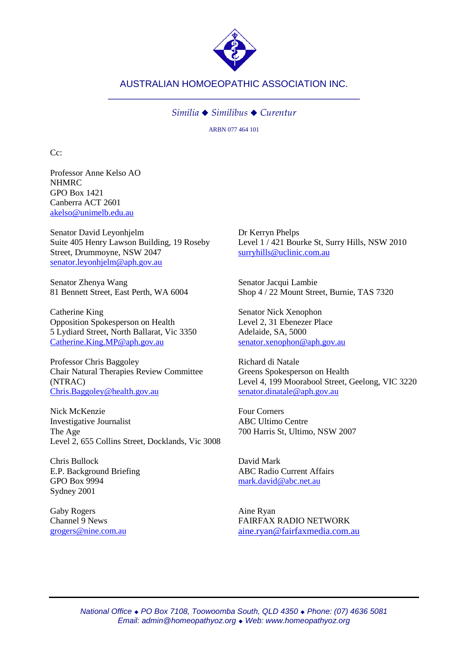

#### *Similia Similibus Curentur*

ARBN 077 464 101

 $C_{\mathcal{C}}$ 

Professor Anne Kelso AO NHMRC GPO Box 1421 Canberra ACT 2601 [akelso@unimelb.edu.au](mailto:akelso@unimelb.edu.au)

Senator David Leyonhjelm Suite 405 Henry Lawson Building, 19 Roseby Street, Drummoyne, NSW 2047 [senator.leyonhjelm@aph.gov.au](mailto:senator.leyonhjelm@aph.gov.au)

Senator Zhenya Wang 81 Bennett Street, East Perth, WA 6004

Catherine King Opposition Spokesperson on Health 5 Lydiard Street, North Ballarat, Vic 3350 [Catherine.King.MP@aph.gov.au](mailto:Catherine.King.MP@aph.gov.au)

Professor Chris Baggoley Chair Natural Therapies Review Committee (NTRAC) [Chris.Baggoley@health.gov.au](mailto:Chris.Baggoley@health.gov.au)

Nick McKenzie Investigative Journalist The Age Level 2, 655 Collins Street, Docklands, Vic 3008

Chris Bullock E.P. Background Briefing GPO Box 9994 Sydney 2001

Gaby Rogers Channel 9 News [grogers@nine.com.au](mailto:grogers@nine.com.au) Dr Kerryn Phelps Level 1 / 421 Bourke St, Surry Hills, NSW 2010 [surryhills@uclinic.com.au](mailto:surryhills@uclinic.com.au)

Senator Jacqui Lambie Shop 4 / 22 Mount Street, Burnie, TAS 7320

Senator Nick Xenophon Level 2, 31 Ebenezer Place Adelaide, SA, 5000 [senator.xenophon@aph.gov.au](mailto:senator.xenophon@aph.gov.au)

Richard di Natale Greens Spokesperson on Health Level 4, 199 Moorabool Street, Geelong, VIC 3220 [senator.dinatale@aph.gov.au](mailto:senator.dinatale@aph.gov.au)

Four Corners ABC Ultimo Centre 700 Harris St, Ultimo, NSW 2007

David Mark ABC Radio Current Affairs [mark.david@abc.net.au](mailto:mark.david@abc.net.au)

Aine Ryan FAIRFAX RADIO NETWORK [aine.ryan@fairfaxmedia.com.au](mailto:aine.ryan@fairfaxmedia.com.au)